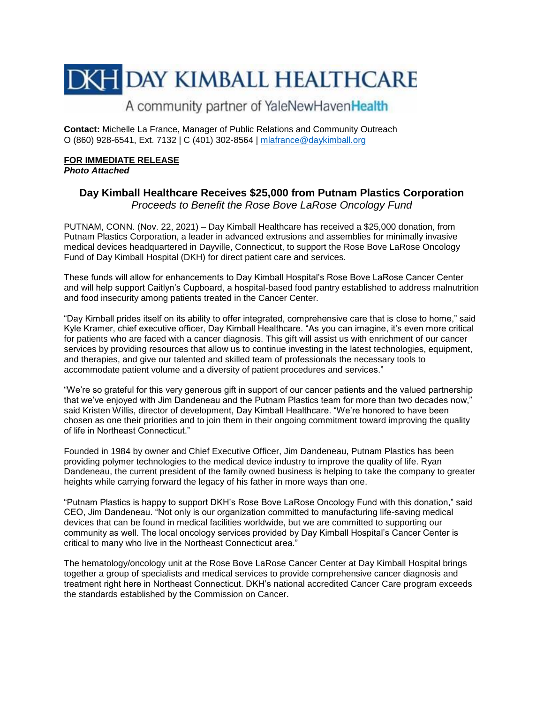# **DKH DAY KIMBALL HEALTHCARE**

### A community partner of YaleNewHavenHealth

**Contact:** Michelle La France, Manager of Public Relations and Community Outreach O (860) 928-6541, Ext. 7132 | C (401) 302-8564 | [mlafrance@daykimball.org](mailto:mlafrance@daykimball.org)

#### **FOR IMMEDIATE RELEASE**  *Photo Attached*

## **Day Kimball Healthcare Receives \$25,000 from Putnam Plastics Corporation**

*Proceeds to Benefit the Rose Bove LaRose Oncology Fund*

PUTNAM, CONN. (Nov. 22, 2021) – Day Kimball Healthcare has received a \$25,000 donation, from Putnam Plastics Corporation, a leader in advanced extrusions and assemblies for minimally invasive medical devices headquartered in Dayville, Connecticut, to support the Rose Bove LaRose Oncology Fund of Day Kimball Hospital (DKH) for direct patient care and services.

These funds will allow for enhancements to Day Kimball Hospital's Rose Bove LaRose Cancer Center and will help support Caitlyn's Cupboard, a hospital-based food pantry established to address malnutrition and food insecurity among patients treated in the Cancer Center.

"Day Kimball prides itself on its ability to offer integrated, comprehensive care that is close to home," said Kyle Kramer, chief executive officer, Day Kimball Healthcare. "As you can imagine, it's even more critical for patients who are faced with a cancer diagnosis. This gift will assist us with enrichment of our cancer services by providing resources that allow us to continue investing in the latest technologies, equipment, and therapies, and give our talented and skilled team of professionals the necessary tools to accommodate patient volume and a diversity of patient procedures and services."

"We're so grateful for this very generous gift in support of our cancer patients and the valued partnership that we've enjoyed with Jim Dandeneau and the Putnam Plastics team for more than two decades now," said Kristen Willis, director of development, Day Kimball Healthcare. "We're honored to have been chosen as one their priorities and to join them in their ongoing commitment toward improving the quality of life in Northeast Connecticut."

Founded in 1984 by owner and Chief Executive Officer, Jim Dandeneau, Putnam Plastics has been providing polymer technologies to the medical device industry to improve the quality of life. Ryan Dandeneau, the current president of the family owned business is helping to take the company to greater heights while carrying forward the legacy of his father in more ways than one.

"Putnam Plastics is happy to support DKH's Rose Bove LaRose Oncology Fund with this donation," said CEO, Jim Dandeneau. "Not only is our organization committed to manufacturing life-saving medical devices that can be found in medical facilities worldwide, but we are committed to supporting our community as well. The local oncology services provided by Day Kimball Hospital's Cancer Center is critical to many who live in the Northeast Connecticut area."

The hematology/oncology unit at the Rose Bove LaRose Cancer Center at Day Kimball Hospital brings together a group of specialists and medical services to provide comprehensive cancer diagnosis and treatment right here in Northeast Connecticut. DKH's national accredited Cancer Care program exceeds the standards established by the Commission on Cancer.